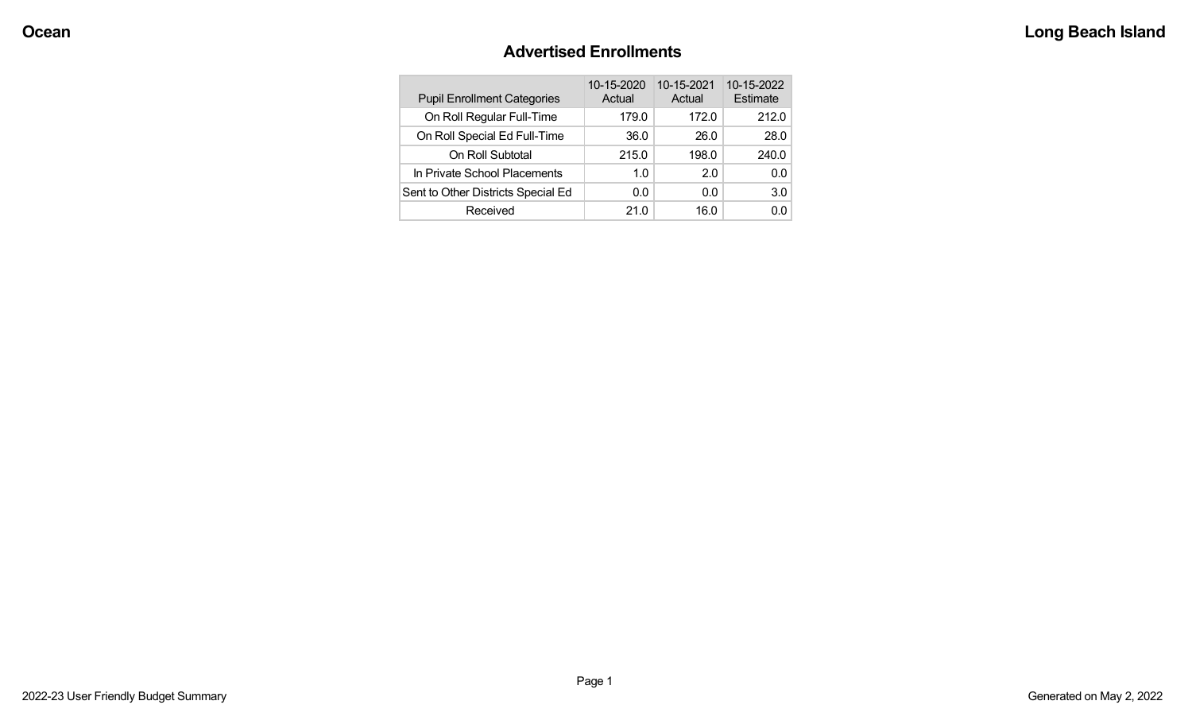## **Advertised Enrollments**

| <b>Pupil Enrollment Categories</b> | 10-15-2020<br>Actual | 10-15-2021<br>Actual | 10-15-2022<br>Estimate |
|------------------------------------|----------------------|----------------------|------------------------|
| On Roll Regular Full-Time          | 179.0                | 172.0                | 212.0                  |
| On Roll Special Ed Full-Time       | 36.0                 | 26.0                 | 28.0                   |
| On Roll Subtotal                   | 215.0                | 198.0                | 240.0                  |
| In Private School Placements       | 1.0                  | 2.0                  | 0.0                    |
| Sent to Other Districts Special Ed | 0.0                  | 0.0                  | 3.0                    |
| Received                           | 21.0                 | 16.0                 | 0.0                    |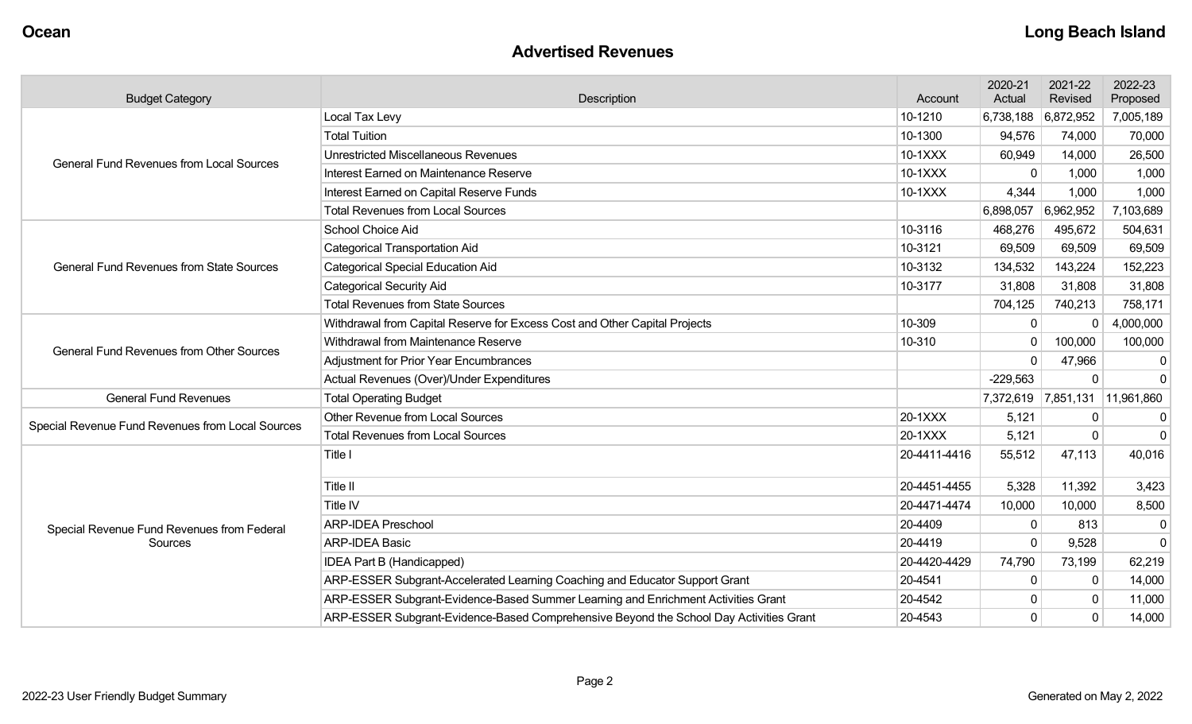#### **Advertised Revenues**

| <b>Budget Category</b>                           | Description                                                                            |              | 2020-21<br>Actual | 2021-22<br>Revised | 2022-23<br>Proposed  |
|--------------------------------------------------|----------------------------------------------------------------------------------------|--------------|-------------------|--------------------|----------------------|
|                                                  | Local Tax Levy                                                                         | 10-1210      | 6,738,188         | 6,872,952          | 7,005,189            |
|                                                  | <b>Total Tuition</b>                                                                   | 10-1300      | 94,576            | 74,000             | 70,000               |
| <b>General Fund Revenues from Local Sources</b>  | <b>Unrestricted Miscellaneous Revenues</b>                                             | 10-1XXX      | 60,949            | 14,000             | 26,500               |
|                                                  | Interest Earned on Maintenance Reserve                                                 | 10-1XXX      |                   | 1,000              | 1,000                |
|                                                  | Interest Earned on Capital Reserve Funds                                               | 10-1XXX      | 4,344             | 1,000              | 1,000                |
|                                                  | <b>Total Revenues from Local Sources</b>                                               |              | 6,898,057         | 6,962,952          | 7,103,689            |
|                                                  | School Choice Aid                                                                      | 10-3116      | 468,276           | 495,672            | 504,631              |
|                                                  | <b>Categorical Transportation Aid</b>                                                  | 10-3121      | 69,509            | 69,509             | 69,509               |
| <b>General Fund Revenues from State Sources</b>  | <b>Categorical Special Education Aid</b>                                               | 10-3132      | 134,532           | 143,224            | 152,223              |
|                                                  | <b>Categorical Security Aid</b>                                                        | 10-3177      | 31,808            | 31,808             | 31,808               |
|                                                  | <b>Total Revenues from State Sources</b>                                               |              | 704,125           | 740,213            | 758,171              |
|                                                  | Withdrawal from Capital Reserve for Excess Cost and Other Capital Projects             | 10-309       | $\mathbf{0}$      |                    | 4,000,000            |
| <b>General Fund Revenues from Other Sources</b>  | Withdrawal from Maintenance Reserve                                                    | 10-310       | $\Omega$          | 100,000            | 100,000              |
|                                                  | <b>Adjustment for Prior Year Encumbrances</b>                                          |              | $\Omega$          | 47,966             | 0                    |
|                                                  | Actual Revenues (Over)/Under Expenditures                                              |              | $-229,563$        |                    | $\Omega$             |
| <b>General Fund Revenues</b>                     | <b>Total Operating Budget</b>                                                          |              | 7,372,619         |                    | 7,851,131 11,961,860 |
| Special Revenue Fund Revenues from Local Sources | Other Revenue from Local Sources                                                       | 20-1XXX      | 5,121             | $\Omega$           | $\overline{0}$       |
|                                                  | <b>Total Revenues from Local Sources</b>                                               | 20-1XXX      | 5,121             | $\Omega$           | $\Omega$             |
|                                                  | Title I                                                                                | 20-4411-4416 | 55,512            | 47,113             | 40,016               |
|                                                  | Title II                                                                               | 20-4451-4455 | 5,328             | 11,392             | 3,423                |
|                                                  | Title IV                                                                               | 20-4471-4474 | 10,000            | 10,000             | 8,500                |
| Special Revenue Fund Revenues from Federal       | <b>ARP-IDEA Preschool</b>                                                              | 20-4409      | $\Omega$          | 813                | $\mathbf{0}$         |
| Sources                                          | <b>ARP-IDEA Basic</b>                                                                  | 20-4419      |                   | 9,528              | $\overline{0}$       |
|                                                  | IDEA Part B (Handicapped)                                                              | 20-4420-4429 | 74,790            | 73,199             | 62,219               |
|                                                  | ARP-ESSER Subgrant-Accelerated Learning Coaching and Educator Support Grant            | 20-4541      | $\Omega$          | $\Omega$           | 14,000               |
|                                                  | ARP-ESSER Subgrant-Evidence-Based Summer Learning and Enrichment Activities Grant      | 20-4542      |                   | $\Omega$           | 11,000               |
|                                                  | ARP-ESSER Subgrant-Evidence-Based Comprehensive Beyond the School Day Activities Grant | 20-4543      | $\Omega$          | $\Omega$           | 14,000               |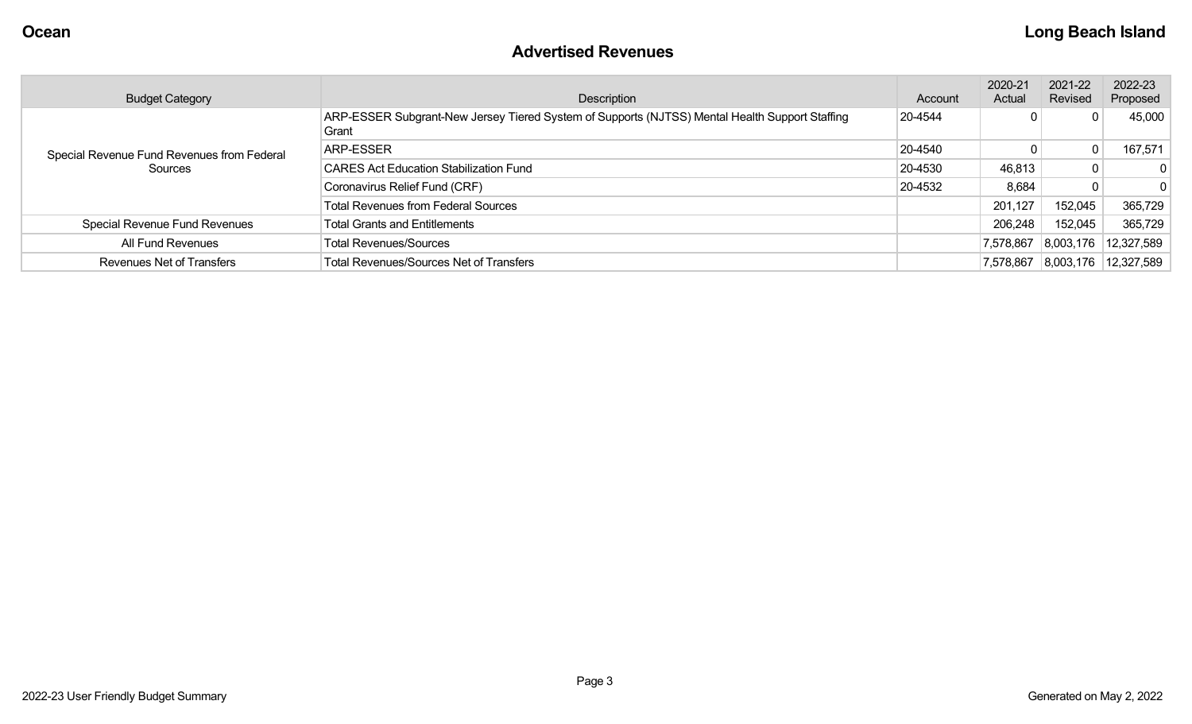### **Advertised Revenues**

| <b>Budget Category</b>                             | Description                                                                                             | Account | 2020-21<br>Actual | 2021-22<br>Revised | 2022-23<br>Proposed |
|----------------------------------------------------|---------------------------------------------------------------------------------------------------------|---------|-------------------|--------------------|---------------------|
|                                                    | ARP-ESSER Subgrant-New Jersey Tiered System of Supports (NJTSS) Mental Health Support Staffing<br>Grant | 20-4544 |                   | 0                  | 45,000              |
| Special Revenue Fund Revenues from Federal         | ARP-ESSER                                                                                               | 20-4540 |                   | 0                  | 167,571             |
| Sources                                            | <b>CARES Act Education Stabilization Fund</b>                                                           | 20-4530 | 46,813            | 0 <sup>1</sup>     | $\mathbf{0}$        |
|                                                    | Coronavirus Relief Fund (CRF)                                                                           | 20-4532 | 8,684             | 0                  | $\Omega$            |
|                                                    | <b>Total Revenues from Federal Sources</b>                                                              |         | 201,127           | 152,045            | 365,729             |
| Special Revenue Fund Revenues                      | <b>Total Grants and Entitlements</b>                                                                    |         | 206,248           | 152,045            | 365,729             |
| <b>Total Revenues/Sources</b><br>All Fund Revenues |                                                                                                         |         | 7,578,867         | 8,003,176          | 12,327,589          |
| <b>Revenues Net of Transfers</b>                   | <b>Total Revenues/Sources Net of Transfers</b>                                                          |         | 7,578,867         | 8,003,176          | 12,327,589          |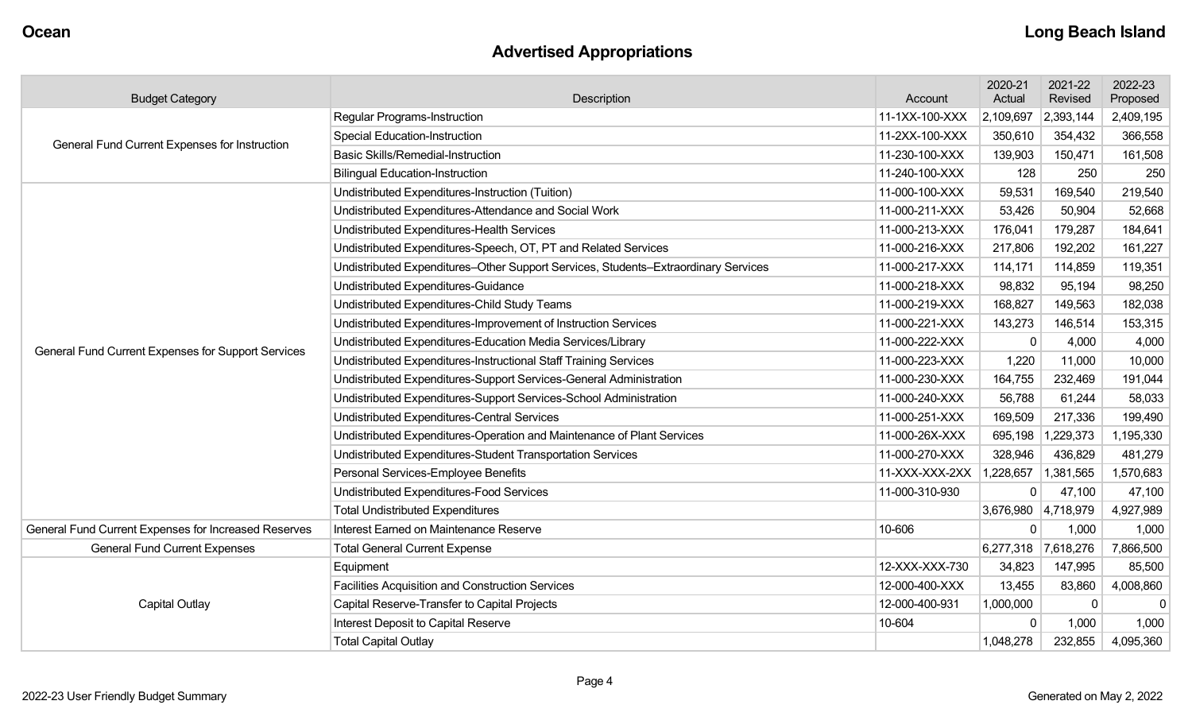## **Advertised Appropriations**

| <b>Budget Category</b>                                                       | Description                                                                        |                | 2020-21<br>Actual | 2021-22<br>Revised  | 2022-23<br>Proposed |
|------------------------------------------------------------------------------|------------------------------------------------------------------------------------|----------------|-------------------|---------------------|---------------------|
|                                                                              | <b>Regular Programs-Instruction</b>                                                | 11-1XX-100-XXX | 2,109,697         | 2,393,144           | 2,409,195           |
| General Fund Current Expenses for Instruction                                | <b>Special Education-Instruction</b>                                               | 11-2XX-100-XXX | 350,610           | 354,432             | 366,558             |
|                                                                              | <b>Basic Skills/Remedial-Instruction</b>                                           | 11-230-100-XXX | 139,903           | 150,471             | 161,508             |
|                                                                              | <b>Bilingual Education-Instruction</b>                                             | 11-240-100-XXX | 128               | 250                 | 250                 |
|                                                                              | Undistributed Expenditures-Instruction (Tuition)                                   | 11-000-100-XXX | 59,531            | 169,540             | 219,540             |
|                                                                              | Undistributed Expenditures-Attendance and Social Work                              | 11-000-211-XXX | 53,426            | 50,904              | 52,668              |
|                                                                              | Undistributed Expenditures-Health Services                                         | 11-000-213-XXX | 176,041           | 179,287             | 184,641             |
|                                                                              | Undistributed Expenditures-Speech, OT, PT and Related Services                     | 11-000-216-XXX | 217,806           | 192,202             | 161,227             |
|                                                                              | Undistributed Expenditures-Other Support Services, Students-Extraordinary Services | 11-000-217-XXX | 114,171           | 114,859             | 119,351             |
|                                                                              | Undistributed Expenditures-Guidance                                                | 11-000-218-XXX | 98,832            | 95,194              | 98,250              |
|                                                                              | Undistributed Expenditures-Child Study Teams                                       | 11-000-219-XXX | 168,827           | 149,563             | 182,038             |
|                                                                              | Undistributed Expenditures-Improvement of Instruction Services                     | 11-000-221-XXX | 143,273           | 146,514             | 153,315             |
| General Fund Current Expenses for Support Services                           | Undistributed Expenditures-Education Media Services/Library                        | 11-000-222-XXX | 0                 | 4,000               | 4,000               |
|                                                                              | Undistributed Expenditures-Instructional Staff Training Services                   | 11-000-223-XXX | 1,220             | 11,000              | 10,000              |
|                                                                              | Undistributed Expenditures-Support Services-General Administration                 | 11-000-230-XXX | 164,755           | 232,469             | 191,044             |
|                                                                              | Undistributed Expenditures-Support Services-School Administration                  | 11-000-240-XXX | 56,788            | 61,244              | 58,033              |
|                                                                              | <b>Undistributed Expenditures-Central Services</b>                                 | 11-000-251-XXX | 169,509           | 217,336             | 199,490             |
|                                                                              | Undistributed Expenditures-Operation and Maintenance of Plant Services             | 11-000-26X-XXX | 695,198           | 1,229,373           | 1,195,330           |
|                                                                              | Undistributed Expenditures-Student Transportation Services                         | 11-000-270-XXX | 328,946           | 436,829             | 481,279             |
|                                                                              | Personal Services-Employee Benefits                                                | 11-XXX-XXX-2XX | 1,228,657         | 1,381,565           | 1,570,683           |
|                                                                              | Undistributed Expenditures-Food Services                                           | 11-000-310-930 |                   | 47,100              | 47,100              |
|                                                                              | <b>Total Undistributed Expenditures</b>                                            |                |                   | 3,676,980 4,718,979 | 4,927,989           |
| General Fund Current Expenses for Increased Reserves                         | Interest Earned on Maintenance Reserve                                             | 10-606         | 0                 | 1,000               | 1,000               |
| <b>General Fund Current Expenses</b><br><b>Total General Current Expense</b> |                                                                                    |                | 6,277,318         | 7,618,276           | 7,866,500           |
|                                                                              | Equipment                                                                          | 12-XXX-XXX-730 | 34,823            | 147,995             | 85,500              |
|                                                                              | Facilities Acquisition and Construction Services                                   | 12-000-400-XXX | 13,455            | 83,860              | 4,008,860           |
| Capital Outlay                                                               | Capital Reserve-Transfer to Capital Projects                                       | 12-000-400-931 | 1,000,000         | $\mathbf{0}$        | $\Omega$            |
|                                                                              | Interest Deposit to Capital Reserve                                                | 10-604         | 0                 | 1,000               | 1,000               |
|                                                                              | <b>Total Capital Outlay</b>                                                        |                | 1,048,278         | 232,855             | 4,095,360           |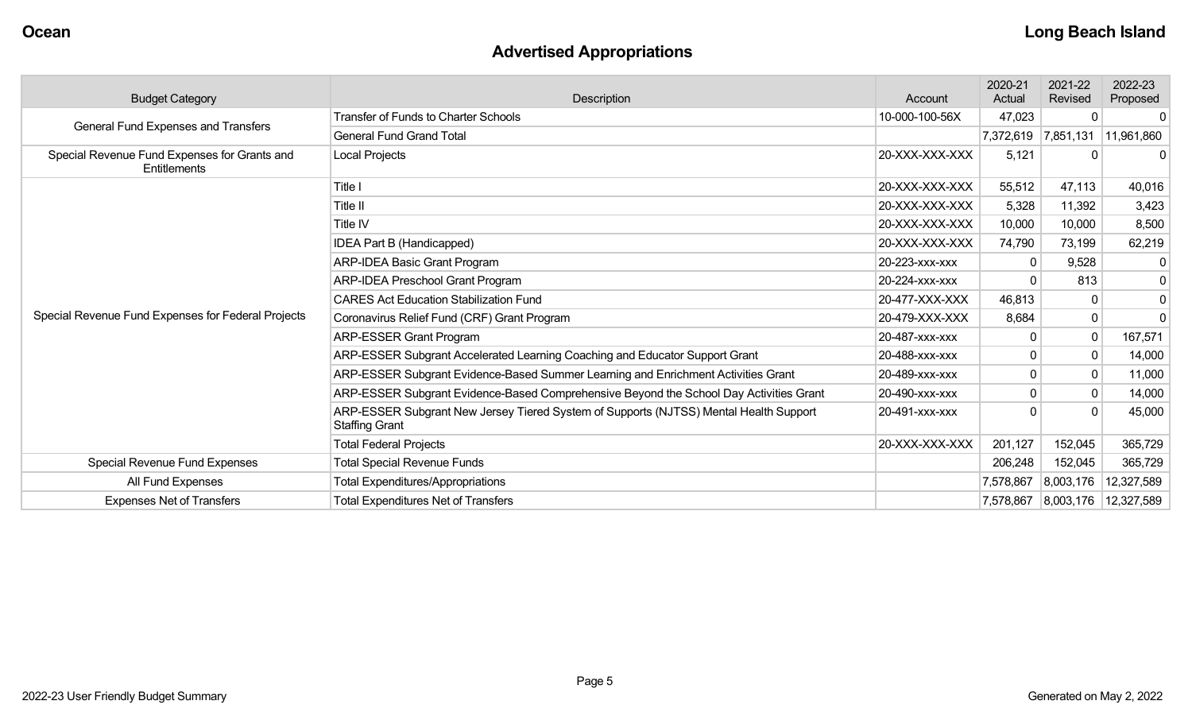# **Advertised Appropriations**

| <b>Budget Category</b>                                       | Description                                                                                                    |                | 2020-21<br>Actual | 2021-22<br>Revised | 2022-23<br>Proposed  |
|--------------------------------------------------------------|----------------------------------------------------------------------------------------------------------------|----------------|-------------------|--------------------|----------------------|
| General Fund Expenses and Transfers                          | <b>Transfer of Funds to Charter Schools</b>                                                                    | 10-000-100-56X | 47,023            |                    | n                    |
|                                                              | <b>General Fund Grand Total</b>                                                                                |                | 7,372,619         | 7,851,131          | 11,961,860           |
| Special Revenue Fund Expenses for Grants and<br>Entitlements | Local Projects                                                                                                 | 20-XXX-XXX-XXX | 5,121             | 0                  |                      |
|                                                              | Title I                                                                                                        | 20-XXX-XXX-XXX | 55,512            | 47,113             | 40,016               |
|                                                              | Title II                                                                                                       | 20-XXX-XXX-XXX | 5,328             | 11,392             | 3,423                |
|                                                              | Title IV                                                                                                       | 20-XXX-XXX-XXX | 10,000            | 10,000             | 8,500                |
|                                                              | IDEA Part B (Handicapped)                                                                                      | 20-XXX-XXX-XXX | 74,790            | 73,199             | 62,219               |
|                                                              | <b>ARP-IDEA Basic Grant Program</b>                                                                            | 20-223-XXX-XXX |                   | 9,528              | -0                   |
|                                                              | <b>ARP-IDEA Preschool Grant Program</b>                                                                        | 20-224-xxx-xxx |                   | 813                | $\mathbf{0}$         |
|                                                              | <b>CARES Act Education Stabilization Fund</b>                                                                  | 20-477-XXX-XXX | 46,813            | 0                  | 0                    |
| Special Revenue Fund Expenses for Federal Projects           | Coronavirus Relief Fund (CRF) Grant Program                                                                    | 20-479-XXX-XXX | 8,684             | 0                  | $\Omega$             |
|                                                              | <b>ARP-ESSER Grant Program</b>                                                                                 | 20-487-xxx-xxx |                   | $\Omega$           | 167,571              |
|                                                              | ARP-ESSER Subgrant Accelerated Learning Coaching and Educator Support Grant                                    | 20-488-xxx-xxx |                   | $\mathbf 0$        | 14,000               |
|                                                              | ARP-ESSER Subgrant Evidence-Based Summer Learning and Enrichment Activities Grant                              | 20-489-xxx-xxx |                   | $\Omega$           | 11,000               |
|                                                              | ARP-ESSER Subgrant Evidence-Based Comprehensive Beyond the School Day Activities Grant                         | 20-490-XXX-XXX |                   | 0                  | 14,000               |
|                                                              | ARP-ESSER Subgrant New Jersey Tiered System of Supports (NJTSS) Mental Health Support<br><b>Staffing Grant</b> | 20-491-xxx-xxx |                   |                    | 45,000               |
|                                                              | <b>Total Federal Projects</b>                                                                                  | 20-XXX-XXX-XXX | 201,127           | 152,045            | 365,729              |
| Special Revenue Fund Expenses                                | <b>Total Special Revenue Funds</b>                                                                             |                | 206,248           | 152,045            | 365,729              |
| All Fund Expenses                                            | <b>Total Expenditures/Appropriations</b>                                                                       |                | 7,578,867         | 8,003,176          | 12,327,589           |
| <b>Expenses Net of Transfers</b>                             | <b>Total Expenditures Net of Transfers</b>                                                                     |                | 7,578,867         |                    | 8,003,176 12,327,589 |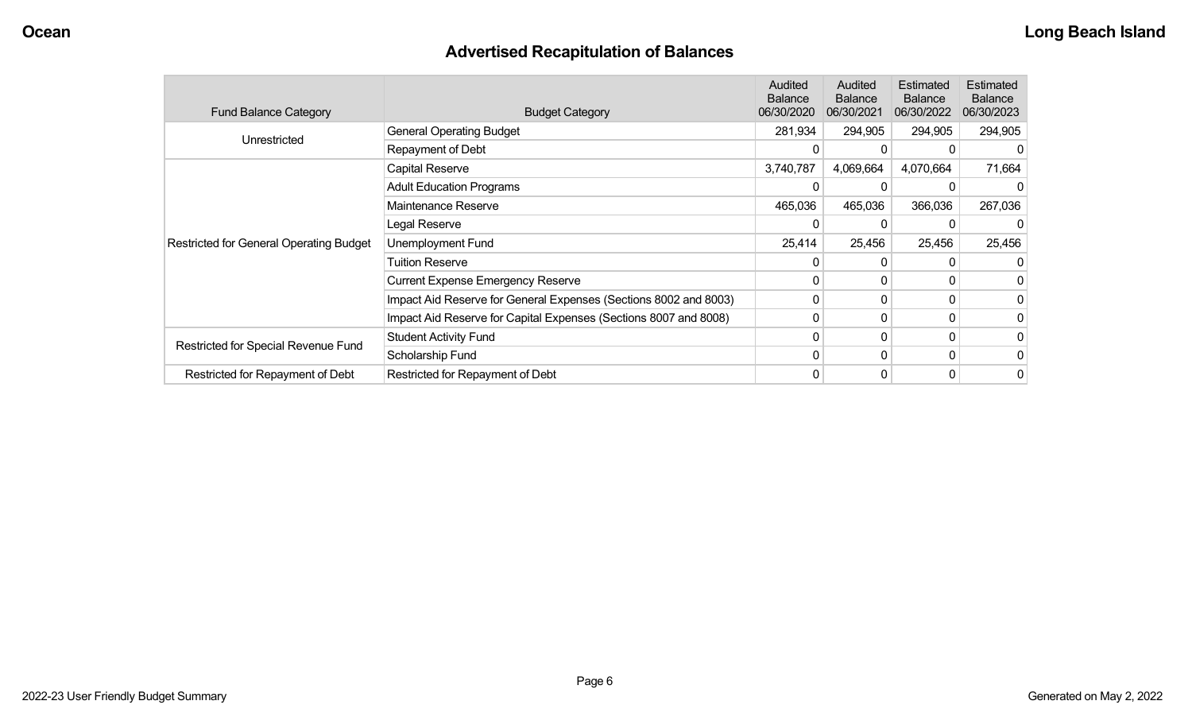## **Advertised Recapitulation of Balances**

| <b>Fund Balance Category</b>                   | <b>Budget Category</b>                                           | Audited<br><b>Balance</b><br>06/30/2020 | <b>Audited</b><br><b>Balance</b><br>06/30/2021 | Estimated<br><b>Balance</b><br>06/30/2022 | Estimated<br><b>Balance</b><br>06/30/2023 |
|------------------------------------------------|------------------------------------------------------------------|-----------------------------------------|------------------------------------------------|-------------------------------------------|-------------------------------------------|
| Unrestricted                                   | <b>General Operating Budget</b>                                  | 281,934                                 | 294,905                                        | 294,905                                   | 294,905                                   |
|                                                | Repayment of Debt                                                | <sup>0</sup>                            |                                                |                                           |                                           |
|                                                | Capital Reserve                                                  | 3,740,787                               | 4,069,664                                      | 4,070,664                                 | 71,664                                    |
|                                                | <b>Adult Education Programs</b>                                  |                                         |                                                |                                           |                                           |
|                                                | Maintenance Reserve                                              | 465,036                                 | 465,036                                        | 366,036                                   | 267,036                                   |
|                                                | Legal Reserve                                                    | 0                                       |                                                |                                           |                                           |
| <b>Restricted for General Operating Budget</b> | Unemployment Fund                                                | 25,414                                  | 25,456                                         | 25,456                                    | 25,456                                    |
|                                                | <b>Tuition Reserve</b>                                           |                                         |                                                |                                           |                                           |
|                                                | <b>Current Expense Emergency Reserve</b>                         | 0                                       | 0                                              |                                           | 0                                         |
|                                                | Impact Aid Reserve for General Expenses (Sections 8002 and 8003) | 0                                       | 0                                              |                                           | 0                                         |
|                                                | Impact Aid Reserve for Capital Expenses (Sections 8007 and 8008) | 0                                       |                                                |                                           | $\overline{0}$                            |
|                                                | <b>Student Activity Fund</b>                                     | 0                                       | 0                                              |                                           | 0                                         |
| Restricted for Special Revenue Fund            | Scholarship Fund                                                 | $\Omega$                                | 0                                              |                                           | 0                                         |
| Restricted for Repayment of Debt               | Restricted for Repayment of Debt                                 | 0                                       |                                                |                                           | $\overline{0}$                            |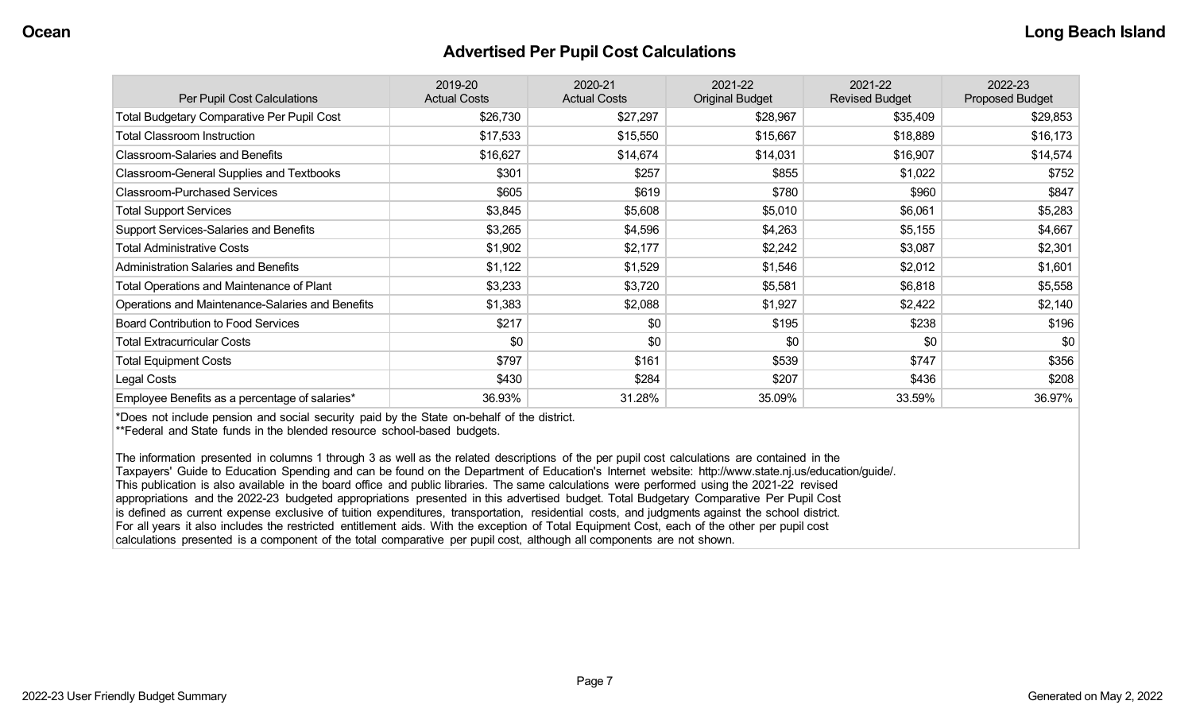#### **Advertised Per Pupil Cost Calculations**

| Per Pupil Cost Calculations                       | 2019-20<br><b>Actual Costs</b> | 2020-21<br><b>Actual Costs</b> | 2021-22<br><b>Original Budget</b> | 2021-22<br><b>Revised Budget</b> | 2022-23<br><b>Proposed Budget</b> |
|---------------------------------------------------|--------------------------------|--------------------------------|-----------------------------------|----------------------------------|-----------------------------------|
| <b>Total Budgetary Comparative Per Pupil Cost</b> | \$26,730                       | \$27,297                       | \$28,967                          | \$35,409                         | \$29,853                          |
| <b>Total Classroom Instruction</b>                | \$17,533                       | \$15,550                       | \$15,667                          | \$18,889                         | \$16,173                          |
| <b>Classroom-Salaries and Benefits</b>            | \$16,627                       | \$14,674                       | \$14,031                          | \$16,907                         | \$14,574                          |
| Classroom-General Supplies and Textbooks          | \$301                          | \$257                          | \$855                             | \$1,022                          | \$752                             |
| <b>Classroom-Purchased Services</b>               | \$605                          | \$619                          | \$780                             | \$960                            | \$847                             |
| <b>Total Support Services</b>                     | \$3,845                        | \$5,608                        | \$5,010                           | \$6,061                          | \$5,283                           |
| Support Services-Salaries and Benefits            | \$3,265                        | \$4,596                        | \$4,263                           | \$5,155                          | \$4,667                           |
| <b>Total Administrative Costs</b>                 | \$1,902                        | \$2,177                        | \$2,242                           | \$3,087                          | \$2,301                           |
| <b>Administration Salaries and Benefits</b>       | \$1,122                        | \$1,529                        | \$1,546                           | \$2,012                          | \$1,601                           |
| Total Operations and Maintenance of Plant         | \$3,233                        | \$3,720                        | \$5,581                           | \$6,818                          | \$5,558                           |
| Operations and Maintenance-Salaries and Benefits  | \$1,383                        | \$2,088                        | \$1,927                           | \$2,422                          | \$2,140                           |
| <b>Board Contribution to Food Services</b>        | \$217                          | \$0                            | \$195                             | \$238                            | \$196                             |
| <b>Total Extracurricular Costs</b>                | \$0                            | \$0                            | \$0                               | \$0                              | \$0                               |
| <b>Total Equipment Costs</b>                      | \$797                          | \$161                          | \$539                             | \$747                            | \$356                             |
| Legal Costs                                       | \$430                          | \$284                          | \$207                             | \$436                            | \$208                             |
| Employee Benefits as a percentage of salaries*    | 36.93%                         | 31.28%                         | 35.09%                            | 33.59%                           | 36.97%                            |

\*Does not include pension and social security paid by the State on-behalf of the district.

\*\*Federal and State funds in the blended resource school-based budgets.

The information presented in columns 1 through 3 as well as the related descriptions of the per pupil cost calculations are contained in the Taxpayers' Guide to Education Spending and can be found on the Department of Education's Internet website: http://www.state.nj.us/education/guide/. This publication is also available in the board office and public libraries. The same calculations were performed using the 2021-22 revised appropriations and the 2022-23 budgeted appropriations presented in this advertised budget. Total Budgetary Comparative Per Pupil Cost is defined as current expense exclusive of tuition expenditures, transportation, residential costs, and judgments against the school district. For all years it also includes the restricted entitlement aids. With the exception of Total Equipment Cost, each of the other per pupil cost calculations presented is a component of the total comparative per pupil cost, although all components are not shown.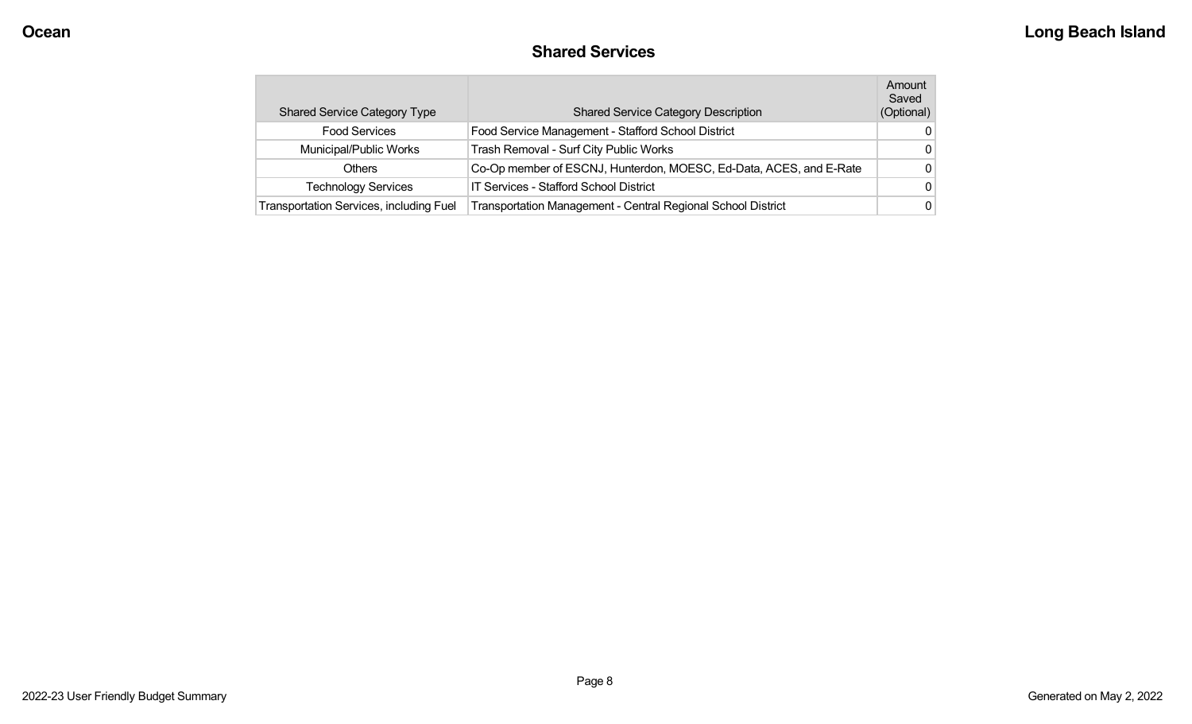## **Shared Services**

| <b>Shared Service Category Type</b>            | <b>Shared Service Category Description</b>                         | Amount<br>Saved<br>(Optional) |
|------------------------------------------------|--------------------------------------------------------------------|-------------------------------|
| <b>Food Services</b>                           | Food Service Management - Stafford School District                 | 0                             |
| Municipal/Public Works                         | Trash Removal - Surf City Public Works                             | 0                             |
| Others                                         | Co-Op member of ESCNJ, Hunterdon, MOESC, Ed-Data, ACES, and E-Rate | $\Omega$                      |
| <b>Technology Services</b>                     | IT Services - Stafford School District                             | 0                             |
| <b>Transportation Services, including Fuel</b> | Transportation Management - Central Regional School District       | 0                             |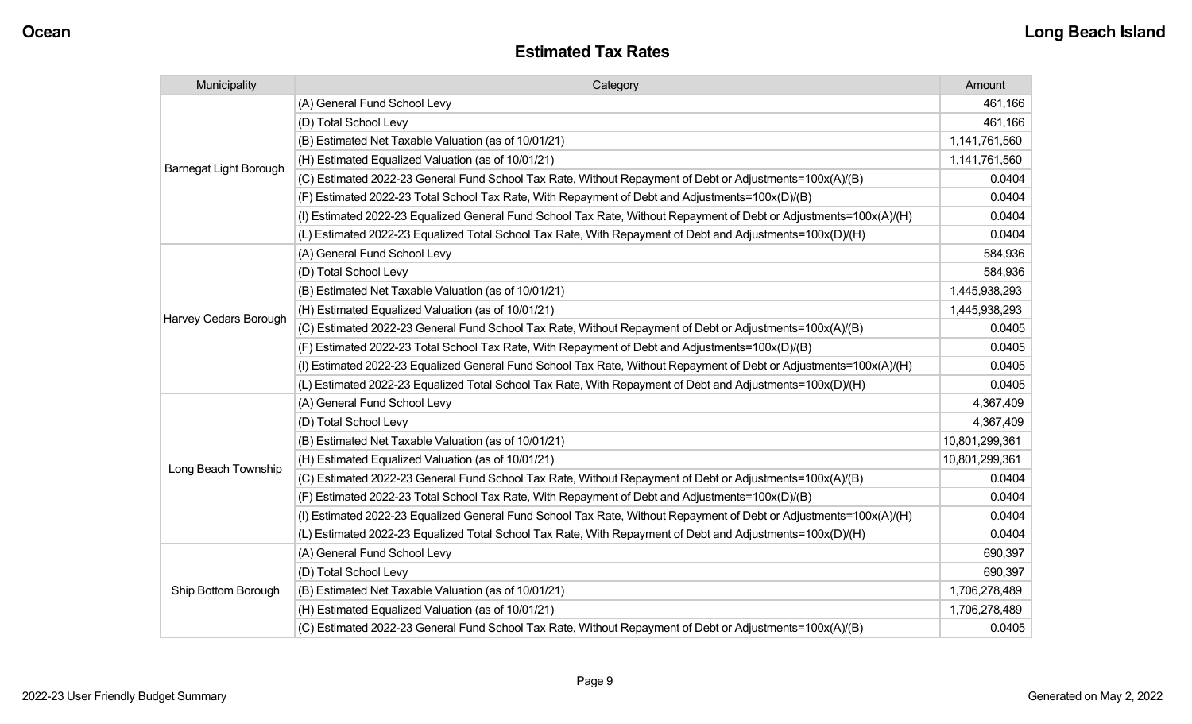| Municipality                  | Category                                                                                                           | Amount         |
|-------------------------------|--------------------------------------------------------------------------------------------------------------------|----------------|
|                               | (A) General Fund School Levy                                                                                       | 461,166        |
|                               | (D) Total School Levy                                                                                              | 461,166        |
|                               | (B) Estimated Net Taxable Valuation (as of 10/01/21)                                                               | 1,141,761,560  |
| <b>Barnegat Light Borough</b> | (H) Estimated Equalized Valuation (as of 10/01/21)                                                                 | 1,141,761,560  |
|                               | (C) Estimated 2022-23 General Fund School Tax Rate, Without Repayment of Debt or Adjustments=100x(A)/(B)           | 0.0404         |
|                               | (F) Estimated 2022-23 Total School Tax Rate, With Repayment of Debt and Adjustments=100x(D)/(B)                    | 0.0404         |
|                               | (I) Estimated 2022-23 Equalized General Fund School Tax Rate, Without Repayment of Debt or Adjustments=100x(A)/(H) | 0.0404         |
|                               | (L) Estimated 2022-23 Equalized Total School Tax Rate, With Repayment of Debt and Adjustments=100x(D)/(H)          | 0.0404         |
|                               | (A) General Fund School Levy                                                                                       | 584,936        |
|                               | (D) Total School Levy                                                                                              | 584,936        |
|                               | (B) Estimated Net Taxable Valuation (as of 10/01/21)                                                               | 1,445,938,293  |
| Harvey Cedars Borough         | (H) Estimated Equalized Valuation (as of 10/01/21)                                                                 | 1,445,938,293  |
|                               | (C) Estimated 2022-23 General Fund School Tax Rate, Without Repayment of Debt or Adjustments=100x(A)/(B)           | 0.0405         |
|                               | (F) Estimated 2022-23 Total School Tax Rate, With Repayment of Debt and Adjustments=100x(D)/(B)                    | 0.0405         |
|                               | (I) Estimated 2022-23 Equalized General Fund School Tax Rate, Without Repayment of Debt or Adjustments=100x(A)/(H) | 0.0405         |
|                               | (L) Estimated 2022-23 Equalized Total School Tax Rate, With Repayment of Debt and Adjustments=100x(D)/(H)          | 0.0405         |
|                               | (A) General Fund School Levy                                                                                       | 4,367,409      |
|                               | (D) Total School Levy                                                                                              | 4,367,409      |
|                               | (B) Estimated Net Taxable Valuation (as of 10/01/21)                                                               | 10,801,299,361 |
| Long Beach Township           | (H) Estimated Equalized Valuation (as of 10/01/21)                                                                 | 10,801,299,361 |
|                               | (C) Estimated 2022-23 General Fund School Tax Rate, Without Repayment of Debt or Adjustments=100x(A)/(B)           | 0.0404         |
|                               | (F) Estimated 2022-23 Total School Tax Rate, With Repayment of Debt and Adjustments=100x(D)/(B)                    | 0.0404         |
|                               | (I) Estimated 2022-23 Equalized General Fund School Tax Rate, Without Repayment of Debt or Adjustments=100x(A)/(H) | 0.0404         |
|                               | (L) Estimated 2022-23 Equalized Total School Tax Rate, With Repayment of Debt and Adjustments=100x(D)/(H)          | 0.0404         |
|                               | (A) General Fund School Levy                                                                                       | 690,397        |
|                               | (D) Total School Levy                                                                                              | 690,397        |
| Ship Bottom Borough           | (B) Estimated Net Taxable Valuation (as of 10/01/21)                                                               | 1,706,278,489  |
|                               | (H) Estimated Equalized Valuation (as of 10/01/21)                                                                 | 1,706,278,489  |
|                               | (C) Estimated 2022-23 General Fund School Tax Rate, Without Repayment of Debt or Adjustments=100x(A)/(B)           | 0.0405         |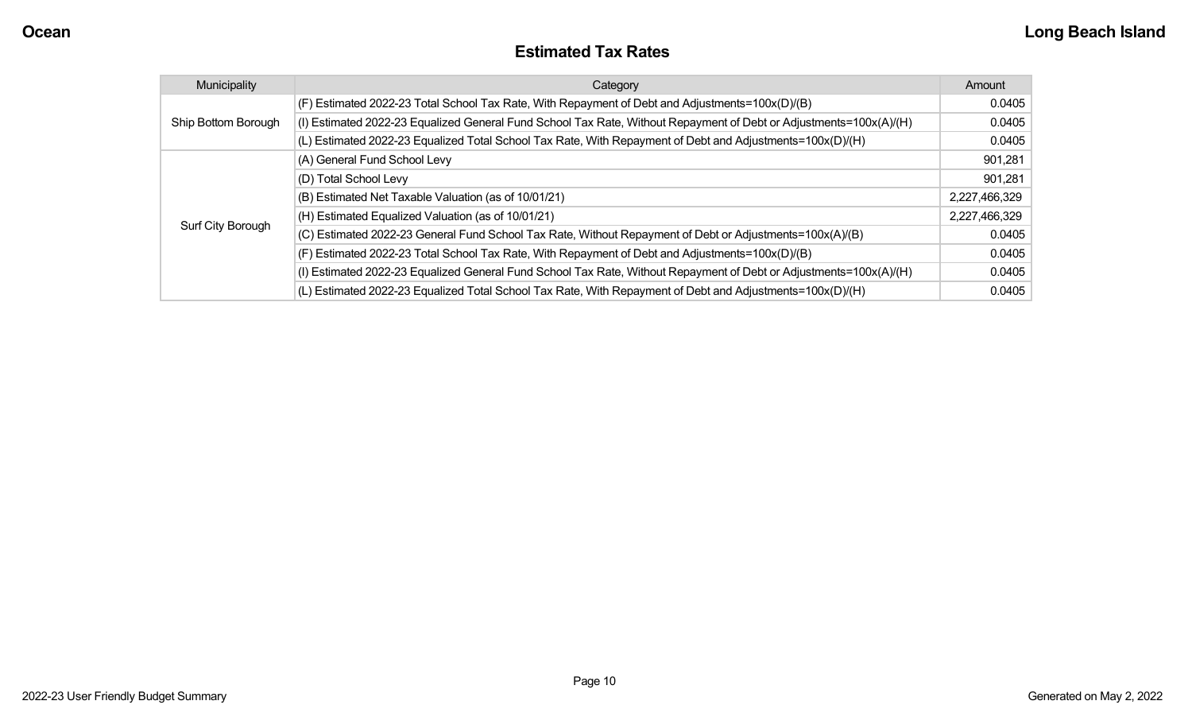#### **Estimated Tax Rates**

| Municipality        | Category                                                                                                           | Amount        |
|---------------------|--------------------------------------------------------------------------------------------------------------------|---------------|
|                     | (F) Estimated 2022-23 Total School Tax Rate, With Repayment of Debt and Adjustments=100x(D)/(B)                    | 0.0405        |
| Ship Bottom Borough | (I) Estimated 2022-23 Equalized General Fund School Tax Rate, Without Repayment of Debt or Adjustments=100x(A)/(H) | 0.0405        |
|                     | (L) Estimated 2022-23 Equalized Total School Tax Rate, With Repayment of Debt and Adjustments=100x(D)/(H)          | 0.0405        |
|                     | (A) General Fund School Levy                                                                                       | 901,281       |
|                     | (D) Total School Levy                                                                                              | 901,281       |
|                     | (B) Estimated Net Taxable Valuation (as of 10/01/21)                                                               | 2,227,466,329 |
|                     | (H) Estimated Equalized Valuation (as of 10/01/21)                                                                 | 2,227,466,329 |
| Surf City Borough   | (C) Estimated 2022-23 General Fund School Tax Rate, Without Repayment of Debt or Adjustments=100x(A)/(B)           | 0.0405        |
|                     | (F) Estimated 2022-23 Total School Tax Rate, With Repayment of Debt and Adjustments=100x(D)/(B)                    | 0.0405        |
|                     | (I) Estimated 2022-23 Equalized General Fund School Tax Rate, Without Repayment of Debt or Adjustments=100x(A)/(H) | 0.0405        |
|                     | (L) Estimated 2022-23 Equalized Total School Tax Rate, With Repayment of Debt and Adjustments=100x(D)/(H)          | 0.0405        |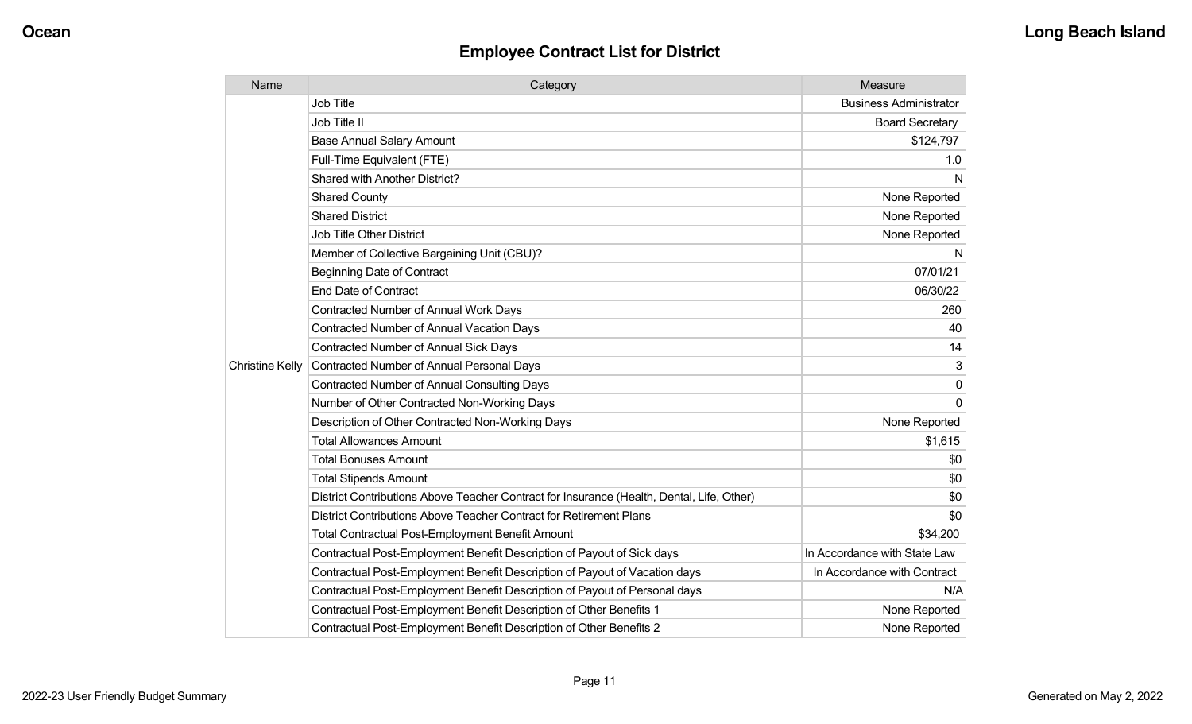| Name                   | Category                                                                                  | Measure                       |
|------------------------|-------------------------------------------------------------------------------------------|-------------------------------|
|                        | <b>Job Title</b>                                                                          | <b>Business Administrator</b> |
|                        | Job Title II                                                                              | <b>Board Secretary</b>        |
|                        | <b>Base Annual Salary Amount</b>                                                          | \$124,797                     |
|                        | Full-Time Equivalent (FTE)                                                                | 1.0                           |
|                        | Shared with Another District?                                                             | N                             |
|                        | <b>Shared County</b>                                                                      | None Reported                 |
|                        | <b>Shared District</b>                                                                    | None Reported                 |
|                        | <b>Job Title Other District</b>                                                           | None Reported                 |
|                        | Member of Collective Bargaining Unit (CBU)?                                               | N                             |
|                        | <b>Beginning Date of Contract</b>                                                         | 07/01/21                      |
|                        | <b>End Date of Contract</b>                                                               | 06/30/22                      |
|                        | <b>Contracted Number of Annual Work Days</b>                                              | 260                           |
|                        | <b>Contracted Number of Annual Vacation Days</b>                                          | 40                            |
|                        | <b>Contracted Number of Annual Sick Days</b>                                              | 14                            |
| <b>Christine Kelly</b> | Contracted Number of Annual Personal Days                                                 | 3                             |
|                        | <b>Contracted Number of Annual Consulting Days</b>                                        | 0                             |
|                        | Number of Other Contracted Non-Working Days                                               | $\Omega$                      |
|                        | Description of Other Contracted Non-Working Days                                          | None Reported                 |
|                        | <b>Total Allowances Amount</b>                                                            | \$1,615                       |
|                        | <b>Total Bonuses Amount</b>                                                               | \$0                           |
|                        | <b>Total Stipends Amount</b>                                                              | \$0                           |
|                        | District Contributions Above Teacher Contract for Insurance (Health, Dental, Life, Other) | \$0                           |
|                        | District Contributions Above Teacher Contract for Retirement Plans                        | \$0                           |
|                        | <b>Total Contractual Post-Employment Benefit Amount</b>                                   | \$34,200                      |
|                        | Contractual Post-Employment Benefit Description of Payout of Sick days                    | In Accordance with State Law  |
|                        | Contractual Post-Employment Benefit Description of Payout of Vacation days                | In Accordance with Contract   |
|                        | Contractual Post-Employment Benefit Description of Payout of Personal days                | N/A                           |
|                        | Contractual Post-Employment Benefit Description of Other Benefits 1                       | None Reported                 |
|                        | Contractual Post-Employment Benefit Description of Other Benefits 2                       | None Reported                 |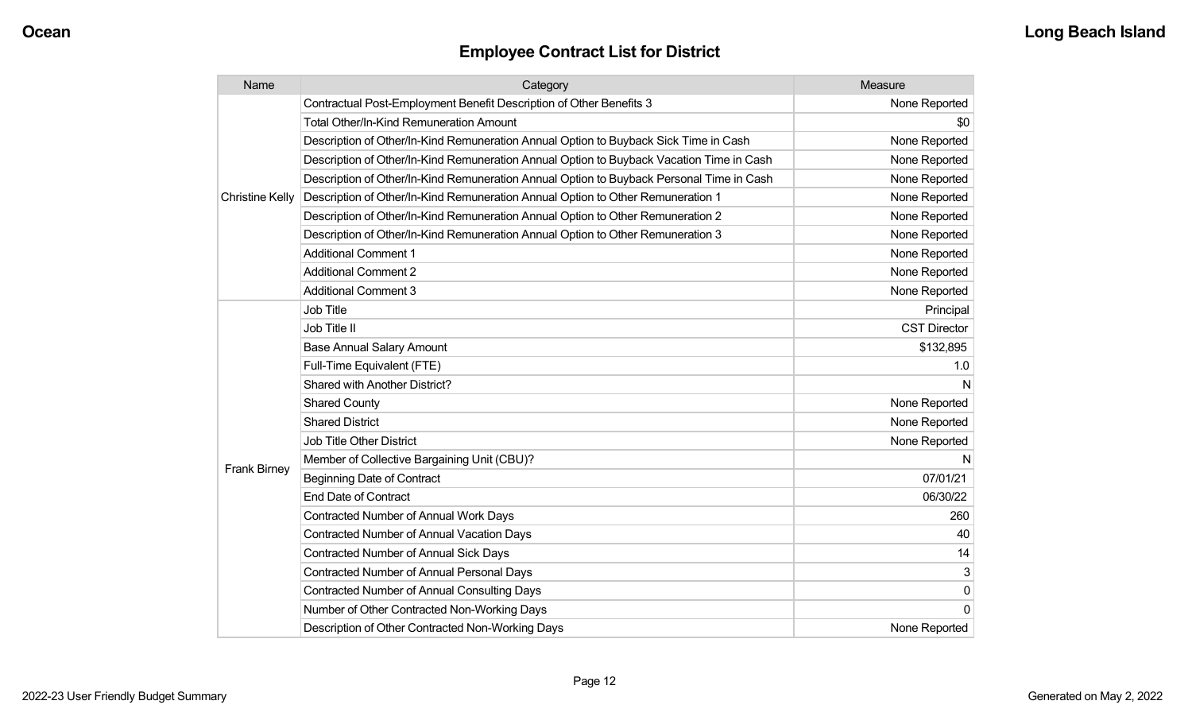| Name                   | Category                                                                                 | Measure             |
|------------------------|------------------------------------------------------------------------------------------|---------------------|
|                        | Contractual Post-Employment Benefit Description of Other Benefits 3                      | None Reported       |
|                        | Total Other/In-Kind Remuneration Amount                                                  | \$0                 |
|                        | Description of Other/In-Kind Remuneration Annual Option to Buyback Sick Time in Cash     | None Reported       |
|                        | Description of Other/In-Kind Remuneration Annual Option to Buyback Vacation Time in Cash | None Reported       |
|                        | Description of Other/In-Kind Remuneration Annual Option to Buyback Personal Time in Cash | None Reported       |
| <b>Christine Kelly</b> | Description of Other/In-Kind Remuneration Annual Option to Other Remuneration 1          | None Reported       |
|                        | Description of Other/In-Kind Remuneration Annual Option to Other Remuneration 2          | None Reported       |
|                        | Description of Other/In-Kind Remuneration Annual Option to Other Remuneration 3          | None Reported       |
|                        | <b>Additional Comment 1</b>                                                              | None Reported       |
|                        | <b>Additional Comment 2</b>                                                              | None Reported       |
|                        | <b>Additional Comment 3</b>                                                              | None Reported       |
|                        | <b>Job Title</b>                                                                         | Principal           |
|                        | Job Title II                                                                             | <b>CST Director</b> |
|                        | <b>Base Annual Salary Amount</b>                                                         | \$132,895           |
|                        | Full-Time Equivalent (FTE)                                                               | 1.0                 |
|                        | Shared with Another District?                                                            | N                   |
|                        | <b>Shared County</b>                                                                     | None Reported       |
|                        | <b>Shared District</b>                                                                   | None Reported       |
|                        | Job Title Other District                                                                 | None Reported       |
|                        | Member of Collective Bargaining Unit (CBU)?                                              | N                   |
| <b>Frank Birney</b>    | <b>Beginning Date of Contract</b>                                                        | 07/01/21            |
|                        | <b>End Date of Contract</b>                                                              | 06/30/22            |
|                        | Contracted Number of Annual Work Days                                                    | 260                 |
|                        | <b>Contracted Number of Annual Vacation Days</b>                                         | 40                  |
|                        | <b>Contracted Number of Annual Sick Days</b>                                             | 14                  |
|                        | Contracted Number of Annual Personal Days                                                | 3                   |
|                        | <b>Contracted Number of Annual Consulting Days</b>                                       | 0                   |
|                        | Number of Other Contracted Non-Working Days                                              | 0                   |
|                        | Description of Other Contracted Non-Working Days                                         | None Reported       |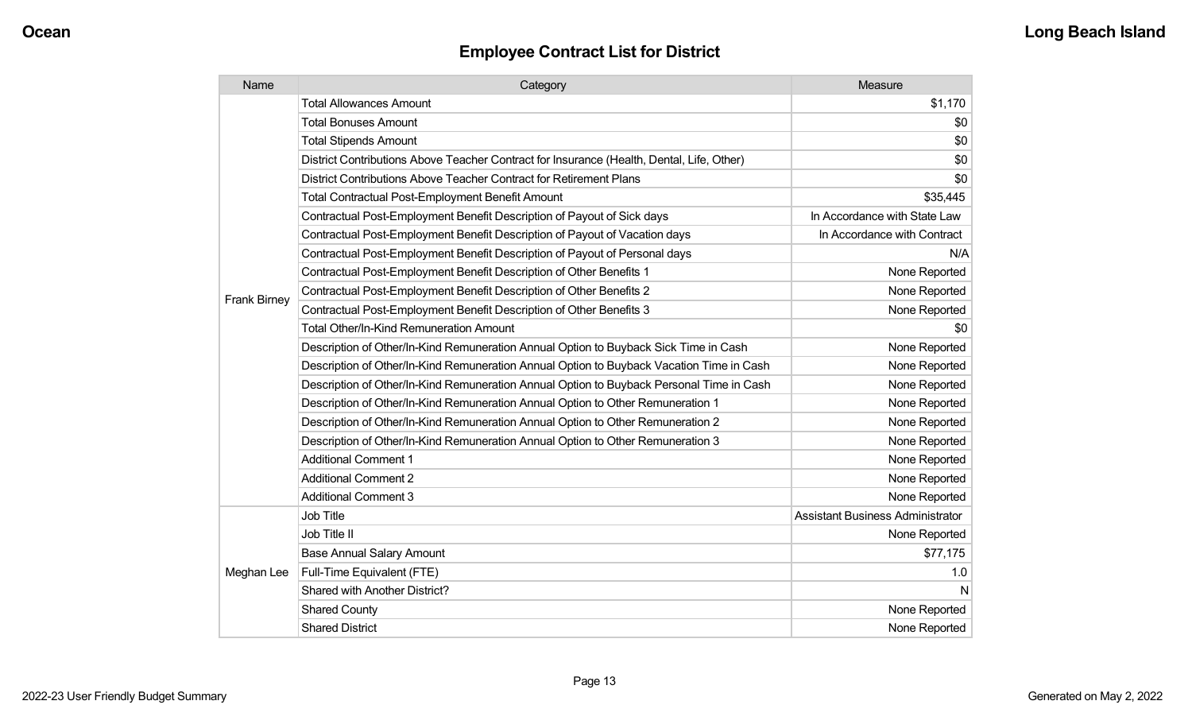| Name                | Category                                                                                  | Measure                                 |
|---------------------|-------------------------------------------------------------------------------------------|-----------------------------------------|
|                     | <b>Total Allowances Amount</b>                                                            | \$1,170                                 |
|                     | <b>Total Bonuses Amount</b>                                                               | \$0                                     |
|                     | <b>Total Stipends Amount</b>                                                              | \$0                                     |
|                     | District Contributions Above Teacher Contract for Insurance (Health, Dental, Life, Other) | \$0                                     |
|                     | District Contributions Above Teacher Contract for Retirement Plans                        | \$0                                     |
|                     | <b>Total Contractual Post-Employment Benefit Amount</b>                                   | \$35,445                                |
|                     | Contractual Post-Employment Benefit Description of Payout of Sick days                    | In Accordance with State Law            |
|                     | Contractual Post-Employment Benefit Description of Payout of Vacation days                | In Accordance with Contract             |
|                     | Contractual Post-Employment Benefit Description of Payout of Personal days                | N/A                                     |
|                     | Contractual Post-Employment Benefit Description of Other Benefits 1                       | None Reported                           |
|                     | Contractual Post-Employment Benefit Description of Other Benefits 2                       | None Reported                           |
| <b>Frank Birney</b> | Contractual Post-Employment Benefit Description of Other Benefits 3                       | None Reported                           |
|                     | <b>Total Other/In-Kind Remuneration Amount</b>                                            | \$0                                     |
|                     | Description of Other/In-Kind Remuneration Annual Option to Buyback Sick Time in Cash      | None Reported                           |
|                     | Description of Other/In-Kind Remuneration Annual Option to Buyback Vacation Time in Cash  | None Reported                           |
|                     | Description of Other/In-Kind Remuneration Annual Option to Buyback Personal Time in Cash  | None Reported                           |
|                     | Description of Other/In-Kind Remuneration Annual Option to Other Remuneration 1           | None Reported                           |
|                     | Description of Other/In-Kind Remuneration Annual Option to Other Remuneration 2           | None Reported                           |
|                     | Description of Other/In-Kind Remuneration Annual Option to Other Remuneration 3           | None Reported                           |
|                     | <b>Additional Comment 1</b>                                                               | None Reported                           |
|                     | <b>Additional Comment 2</b>                                                               | None Reported                           |
|                     | <b>Additional Comment 3</b>                                                               | None Reported                           |
| Meghan Lee          | Job Title                                                                                 | <b>Assistant Business Administrator</b> |
|                     | Job Title II                                                                              | None Reported                           |
|                     | <b>Base Annual Salary Amount</b>                                                          | \$77,175                                |
|                     | Full-Time Equivalent (FTE)                                                                | 1.0                                     |
|                     | Shared with Another District?                                                             | N                                       |
|                     | <b>Shared County</b>                                                                      | None Reported                           |
|                     | <b>Shared District</b>                                                                    | None Reported                           |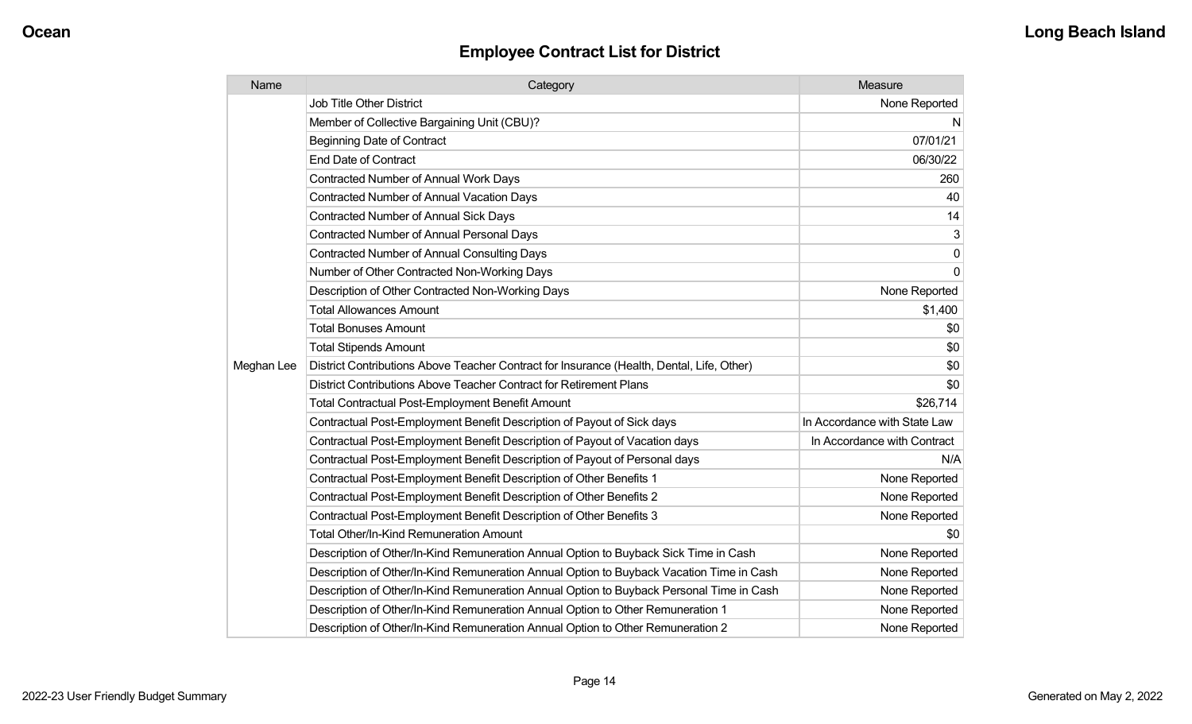| Name       | Category                                                                                  | Measure                      |
|------------|-------------------------------------------------------------------------------------------|------------------------------|
|            | <b>Job Title Other District</b>                                                           | None Reported                |
|            | Member of Collective Bargaining Unit (CBU)?                                               | N                            |
|            | <b>Beginning Date of Contract</b>                                                         | 07/01/21                     |
|            | <b>End Date of Contract</b>                                                               | 06/30/22                     |
|            | Contracted Number of Annual Work Days                                                     | 260                          |
|            | <b>Contracted Number of Annual Vacation Days</b>                                          | 40                           |
|            | <b>Contracted Number of Annual Sick Days</b>                                              | 14                           |
|            | Contracted Number of Annual Personal Days                                                 | 3                            |
|            | <b>Contracted Number of Annual Consulting Days</b>                                        | $\mathbf 0$                  |
|            | Number of Other Contracted Non-Working Days                                               | $\Omega$                     |
|            | Description of Other Contracted Non-Working Days                                          | None Reported                |
|            | <b>Total Allowances Amount</b>                                                            | \$1,400                      |
|            | <b>Total Bonuses Amount</b>                                                               | \$0                          |
|            | <b>Total Stipends Amount</b>                                                              | \$0                          |
| Meghan Lee | District Contributions Above Teacher Contract for Insurance (Health, Dental, Life, Other) | \$0                          |
|            | District Contributions Above Teacher Contract for Retirement Plans                        | \$0                          |
|            | <b>Total Contractual Post-Employment Benefit Amount</b>                                   | \$26,714                     |
|            | Contractual Post-Employment Benefit Description of Payout of Sick days                    | In Accordance with State Law |
|            | Contractual Post-Employment Benefit Description of Payout of Vacation days                | In Accordance with Contract  |
|            | Contractual Post-Employment Benefit Description of Payout of Personal days                | N/A                          |
|            | Contractual Post-Employment Benefit Description of Other Benefits 1                       | None Reported                |
|            | Contractual Post-Employment Benefit Description of Other Benefits 2                       | None Reported                |
|            | Contractual Post-Employment Benefit Description of Other Benefits 3                       | None Reported                |
|            | <b>Total Other/In-Kind Remuneration Amount</b>                                            | \$0                          |
|            | Description of Other/In-Kind Remuneration Annual Option to Buyback Sick Time in Cash      | None Reported                |
|            | Description of Other/In-Kind Remuneration Annual Option to Buyback Vacation Time in Cash  | None Reported                |
|            | Description of Other/In-Kind Remuneration Annual Option to Buyback Personal Time in Cash  | None Reported                |
|            | Description of Other/In-Kind Remuneration Annual Option to Other Remuneration 1           | None Reported                |
|            | Description of Other/In-Kind Remuneration Annual Option to Other Remuneration 2           | None Reported                |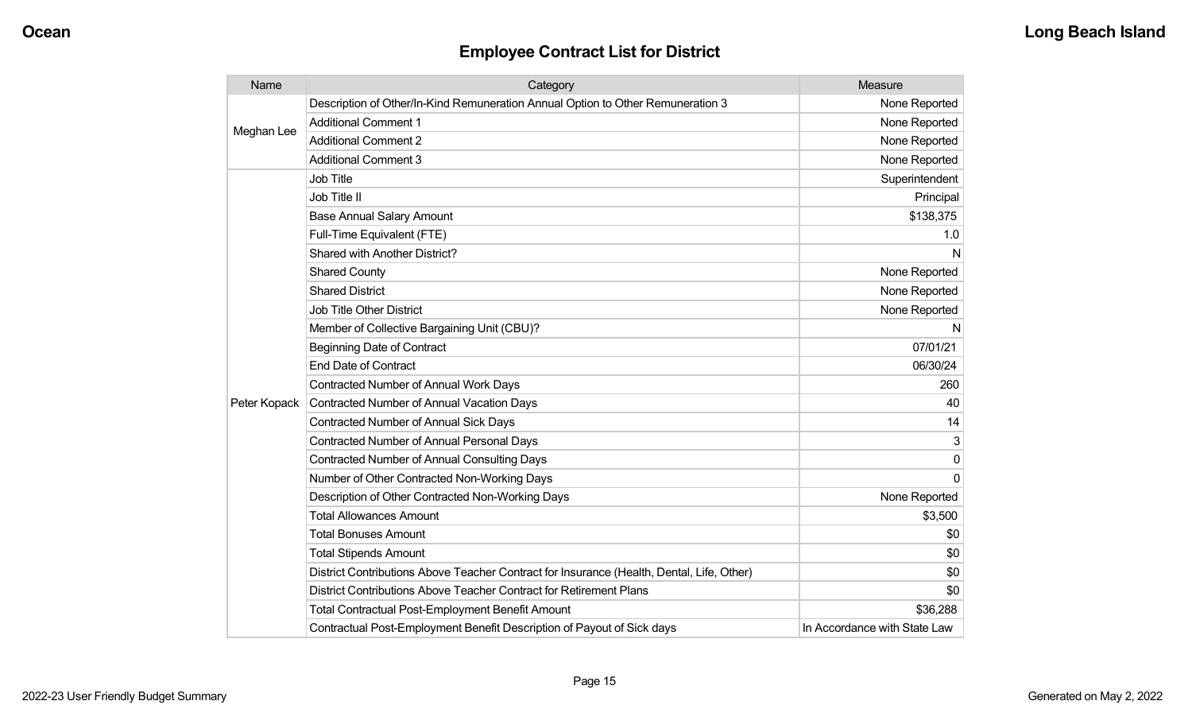| Name         | Category                                                                                  | Measure                      |
|--------------|-------------------------------------------------------------------------------------------|------------------------------|
| Meghan Lee   | Description of Other/In-Kind Remuneration Annual Option to Other Remuneration 3           | None Reported                |
|              | <b>Additional Comment 1</b>                                                               | None Reported                |
|              | <b>Additional Comment 2</b>                                                               | None Reported                |
|              | <b>Additional Comment 3</b>                                                               | None Reported                |
|              | <b>Job Title</b>                                                                          | Superintendent               |
|              | Job Title II                                                                              | Principal                    |
|              | <b>Base Annual Salary Amount</b>                                                          | \$138,375                    |
|              | Full-Time Equivalent (FTE)                                                                | 1.0                          |
|              | <b>Shared with Another District?</b>                                                      | N                            |
|              | <b>Shared County</b>                                                                      | None Reported                |
|              | <b>Shared District</b>                                                                    | None Reported                |
|              | <b>Job Title Other District</b>                                                           | None Reported                |
|              | Member of Collective Bargaining Unit (CBU)?                                               | N                            |
|              | <b>Beginning Date of Contract</b>                                                         | 07/01/21                     |
|              | <b>End Date of Contract</b>                                                               | 06/30/24                     |
|              | Contracted Number of Annual Work Days                                                     | 260                          |
| Peter Kopack | Contracted Number of Annual Vacation Days                                                 | 40                           |
|              | <b>Contracted Number of Annual Sick Days</b>                                              | 14                           |
|              | <b>Contracted Number of Annual Personal Days</b>                                          | 3                            |
|              | <b>Contracted Number of Annual Consulting Days</b>                                        | $\Omega$                     |
|              | Number of Other Contracted Non-Working Days                                               | $\Omega$                     |
|              | Description of Other Contracted Non-Working Days                                          | None Reported                |
|              | <b>Total Allowances Amount</b>                                                            | \$3,500                      |
|              | <b>Total Bonuses Amount</b>                                                               | \$0                          |
|              | <b>Total Stipends Amount</b>                                                              | \$0                          |
|              | District Contributions Above Teacher Contract for Insurance (Health, Dental, Life, Other) | \$0                          |
|              | District Contributions Above Teacher Contract for Retirement Plans                        | \$0                          |
|              | <b>Total Contractual Post-Employment Benefit Amount</b>                                   | \$36,288                     |
|              | Contractual Post-Employment Benefit Description of Payout of Sick days                    | In Accordance with State Law |